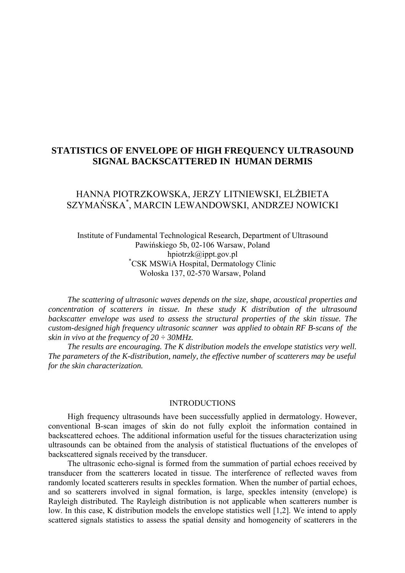## **STATISTICS OF ENVELOPE OF HIGH FREQUENCY ULTRASOUND SIGNAL BACKSCATTERED IN HUMAN DERMIS**

# HANNA PIOTRZKOWSKA, JERZY LITNIEWSKI, ELŻBIETA SZYMAŃSKA\* , MARCIN LEWANDOWSKI, ANDRZEJ NOWICKI

Institute of Fundamental Technological Research, Department of Ultrasound Pawińskiego 5b, 02-106 Warsaw, Poland hpiotrzk@ippt.gov.pl \* CSK MSWiA Hospital, Dermatology Clinic Wołoska 137, 02-570 Warsaw, Poland

*The scattering of ultrasonic waves depends on the size, shape, acoustical properties and concentration of scatterers in tissue. In these study K distribution of the ultrasound backscatter envelope was used to assess the structural properties of the skin tissue. The custom-designed high frequency ultrasonic scanner was applied to obtain RF B-scans of the skin in vivo at the frequency of 20 ÷ 30MHz.* 

*The results are encouraging. The K distribution models the envelope statistics very well. The parameters of the K-distribution, namely, the effective number of scatterers may be useful for the skin characterization.* 

#### INTRODUCTIONS

High frequency ultrasounds have been successfully applied in dermatology. However, conventional B-scan images of skin do not fully exploit the information contained in backscattered echoes. The additional information useful for the tissues characterization using ultrasounds can be obtained from the analysis of statistical fluctuations of the envelopes of backscattered signals received by the transducer.

The ultrasonic echo-signal is formed from the summation of partial echoes received by transducer from the scatterers located in tissue. The interference of reflected waves from randomly located scatterers results in speckles formation. When the number of partial echoes, and so scatterers involved in signal formation, is large, speckles intensity (envelope) is Rayleigh distributed. The Rayleigh distribution is not applicable when scatterers number is low. In this case, K distribution models the envelope statistics well [1,2]. We intend to apply scattered signals statistics to assess the spatial density and homogeneity of scatterers in the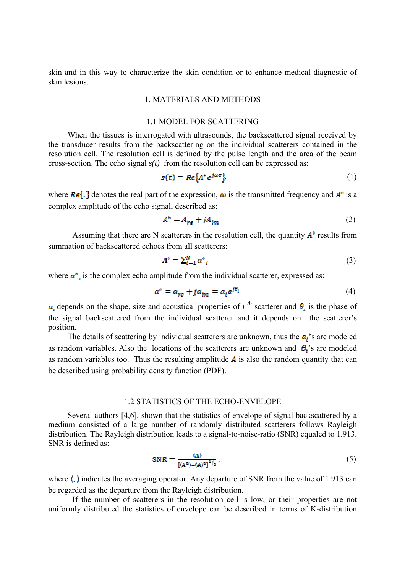skin and in this way to characterize the skin condition or to enhance medical diagnostic of skin lesions.

#### 1. MATERIALS AND METHODS

#### 1.1 MODEL FOR SCATTERING

When the tissues is interrogated with ultrasounds, the backscattered signal received by the transducer results from the backscattering on the individual scatterers contained in the resolution cell. The resolution cell is defined by the pulse length and the area of the beam cross-section. The echo signal *s(t)* from the resolution cell can be expressed as:

$$
s(t) = Re\{A^* e^{j\omega t}\},\tag{1}
$$

where  $\mathbf{Re} \{.\}$  denotes the real part of the expression,  $\boldsymbol{\omega}$  is the transmitted frequency and  $\boldsymbol{A}^*$  is a complex amplitude of the echo signal, described as:

$$
A^* = A_{re} + jA_{im} \tag{2}
$$

Assuming that there are N scatterers in the resolution cell, the quantity  $A^*$  results from summation of backscattered echoes from all scatterers:

$$
A^* = \sum_{i=1}^N a^*_{i}
$$
 (3)

where  $a^*$ <sub>i</sub> is the complex echo amplitude from the individual scatterer, expressed as:

$$
a^* = a_{\gamma\epsilon} + ja_{im} = a_i e^{j\theta_1} \tag{4}
$$

 $\alpha_t$  depends on the shape, size and acoustical properties of *i*<sup>th</sup> scatterer and  $\theta_t$  is the phase of the signal backscattered from the individual scatterer and it depends on the scatterer's position.

The details of scattering by individual scatterers are unknown, thus the  $a_i$ 's are modeled as random variables. Also the locations of the scatterers are unknown and  $\theta$ ,'s are modeled as random variables too. Thus the resulting amplitude  $\vec{A}$  is also the random quantity that can be described using probability density function (PDF).

## 1.2 STATISTICS OF THE ECHO-ENVELOPE

Several authors [4,6], shown that the statistics of envelope of signal backscattered by a medium consisted of a large number of randomly distributed scatterers follows Rayleigh distribution. The Rayleigh distribution leads to a signal-to-noise-ratio (SNR) equaled to 1.913. SNR is defined as:

$$
SNR = \frac{\langle A \rangle}{\left[ \langle A^2 \rangle - \langle A \rangle^2 \right]^4 / 2},\tag{5}
$$

where  $\langle$ , indicates the averaging operator. Any departure of SNR from the value of 1.913 can be regarded as the departure from the Rayleigh distribution.

If the number of scatterers in the resolution cell is low, or their properties are not uniformly distributed the statistics of envelope can be described in terms of K-distribution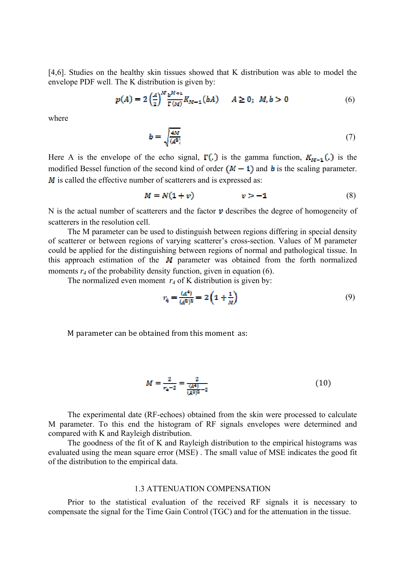[4,6]. Studies on the healthy skin tissues showed that K distribution was able to model the envelope PDF well. The K distribution is given by:

$$
p(A) = 2\left(\frac{A}{2}\right)^M \frac{b^{M+1}}{\Gamma(M)} K_{M-1}(bA) \qquad A \ge 0; \ \ M, b > 0 \tag{6}
$$

where

$$
b = \sqrt{\frac{4M}{(A^2)}}\tag{7}
$$

Here A is the envelope of the echo signal,  $\Gamma(.)$  is the gamma function,  $K_{M-1}(.)$  is the modified Bessel function of the second kind of order  $(M - 1)$  and b is the scaling parameter.  $M$  is called the effective number of scatterers and is expressed as:

$$
M = N(1+v) \qquad \qquad v > -1 \qquad \qquad (8)
$$

N is the actual number of scatterers and the factor  $\nu$  describes the degree of homogeneity of scatterers in the resolution cell.

The M parameter can be used to distinguish between regions differing in special density of scatterer or between regions of varying scatterer's cross-section. Values of M parameter could be applied for the distinguishing between regions of normal and pathological tissue. In this approach estimation of the  $M$  parameter was obtained from the forth normalized moments  $r_4$  of the probability density function, given in equation (6).

The normalized even moment  $r_4$  of K distribution is given by:

$$
r_{4} = \frac{(A^{4})}{(A^{2})^{2}} = 2\left(1 + \frac{1}{M}\right)
$$
\n(9)

M parameter can be obtained from this moment as:

$$
M = \frac{2}{r_a - 2} = \frac{2}{\frac{4A^4}{(A^2)^2} - 2} \tag{10}
$$

The experimental date (RF-echoes) obtained from the skin were processed to calculate M parameter. To this end the histogram of RF signals envelopes were determined and compared with K and Rayleigh distribution.

The goodness of the fit of K and Rayleigh distribution to the empirical histograms was evaluated using the mean square error (MSE) . The small value of MSE indicates the good fit of the distribution to the empirical data.

## 1.3 ATTENUATION COMPENSATION

Prior to the statistical evaluation of the received RF signals it is necessary to compensate the signal for the Time Gain Control (TGC) and for the attenuation in the tissue.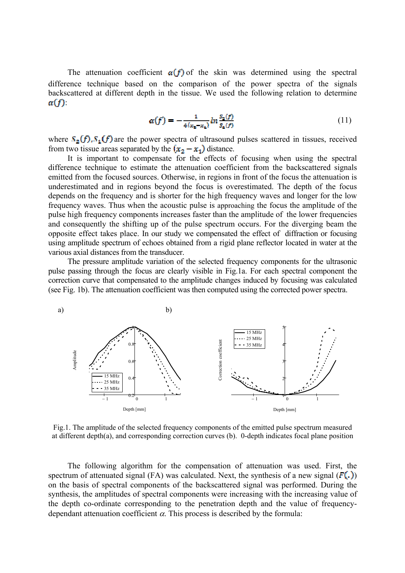The attenuation coefficient  $\alpha(f)$  of the skin was determined using the spectral difference technique based on the comparison of the power spectra of the signals backscattered at different depth in the tissue. We used the following relation to determine  $\alpha(f)$ :

$$
\alpha(f) = -\frac{1}{4(x_2 - x_4)} \ln \frac{s_2(f)}{s_4(f)} \tag{11}
$$

where  $S_{\alpha}(f)$ ,  $S_{1}(f)$  are the power spectra of ultrasound pulses scattered in tissues, received from two tissue areas separated by the  $(x_2 - x_1)$  distance.

It is important to compensate for the effects of focusing when using the spectral difference technique to estimate the attenuation coefficient from the backscattered signals emitted from the focused sources. Otherwise, in regions in front of the focus the attenuation is underestimated and in regions beyond the focus is overestimated. The depth of the focus depends on the frequency and is shorter for the high frequency waves and longer for the low frequency waves. Thus when the acoustic pulse is approaching the focus the amplitude of the pulse high frequency components increases faster than the amplitude of the lower frequencies and consequently the shifting up of the pulse spectrum occurs. For the diverging beam the opposite effect takes place. In our study we compensated the effect of diffraction or focusing using amplitude spectrum of echoes obtained from a rigid plane reflector located in water at the various axial distances from the transducer.

The pressure amplitude variation of the selected frequency components for the ultrasonic pulse passing through the focus are clearly visible in Fig.1a. For each spectral component the correction curve that compensated to the amplitude changes induced by focusing was calculated (see Fig. 1b). The attenuation coefficient was then computed using the corrected power spectra.



Fig.1. The amplitude of the selected frequency components of the emitted pulse spectrum measured at different depth(a), and corresponding correction curves (b). 0-depth indicates focal plane position

The following algorithm for the compensation of attenuation was used. First, the spectrum of attenuated signal (FA) was calculated. Next, the synthesis of a new signal  $(F(.))$ on the basis of spectral components of the backscattered signal was performed. During the synthesis, the amplitudes of spectral components were increasing with the increasing value of the depth co-ordinate corresponding to the penetration depth and the value of frequencydependant attenuation coefficient  $\alpha$ . This process is described by the formula: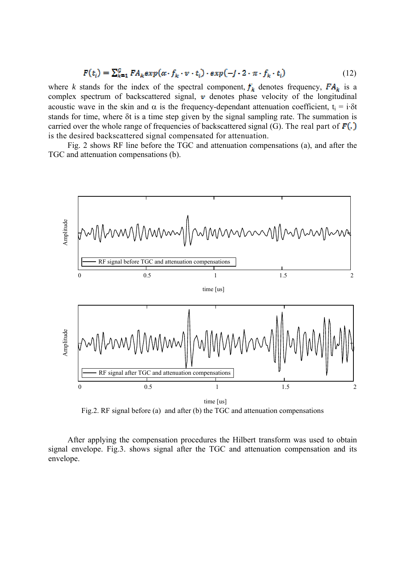# $F(t_i) = \sum_{k=1}^{G} FA_k exp(\alpha \cdot f_k \cdot v \cdot t_i) \cdot exp(-j \cdot 2 \cdot \pi \cdot f_k \cdot t_i)$  (12)

where *k* stands for the index of the spectral component,  $f_k$  denotes frequency,  $FA_k$  is a complex spectrum of backscattered signal,  $\bf{v}$  denotes phase velocity of the longitudinal acoustic wave in the skin and  $\alpha$  is the frequency-dependant attenuation coefficient,  $t_i = i \delta t$ stands for time, where δt is a time step given by the signal sampling rate. The summation is carried over the whole range of frequencies of backscattered signal (G). The real part of  $F(.)$ is the desired backscattered signal compensated for attenuation.

Fig. 2 shows RF line before the TGC and attenuation compensations (a), and after the TGC and attenuation compensations (b).



Fig.2. RF signal before (a) and after (b) the TGC and attenuation compensations

After applying the compensation procedures the Hilbert transform was used to obtain signal envelope. Fig.3. shows signal after the TGC and attenuation compensation and its envelope.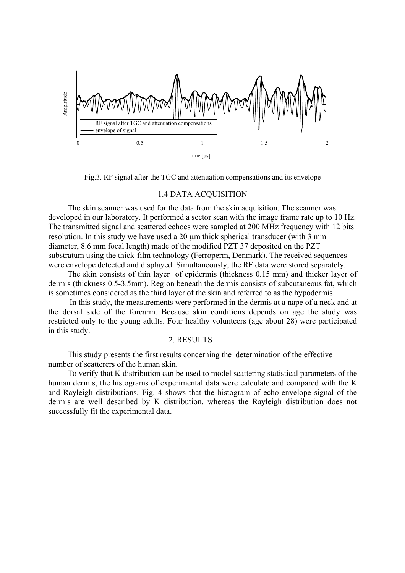

Fig.3. RF signal after the TGC and attenuation compensations and its envelope

### 1.4 DATA ACQUISITION

The skin scanner was used for the data from the skin acquisition. The scanner was developed in our laboratory. It performed a sector scan with the image frame rate up to 10 Hz. The transmitted signal and scattered echoes were sampled at 200 MHz frequency with 12 bits resolution. In this study we have used a 20  $\mu$ m thick spherical transducer (with 3 mm diameter, 8.6 mm focal length) made of the modified PZT 37 deposited on the PZT substratum using the thick-film technology (Ferroperm, Denmark). The received sequences were envelope detected and displayed. Simultaneously, the RF data were stored separately.

The skin consists of thin layer of epidermis (thickness 0.15 mm) and thicker layer of dermis (thickness 0.5-3.5mm). Region beneath the dermis consists of subcutaneous fat, which is sometimes considered as the third layer of the skin and referred to as the hypodermis.

 In this study, the measurements were performed in the dermis at a nape of a neck and at the dorsal side of the forearm. Because skin conditions depends on age the study was restricted only to the young adults. Four healthy volunteers (age about 28) were participated in this study.

## 2. RESULTS

This study presents the first results concerning the determination of the effective number of scatterers of the human skin.

To verify that K distribution can be used to model scattering statistical parameters of the human dermis, the histograms of experimental data were calculate and compared with the K and Rayleigh distributions. Fig. 4 shows that the histogram of echo-envelope signal of the dermis are well described by K distribution, whereas the Rayleigh distribution does not successfully fit the experimental data.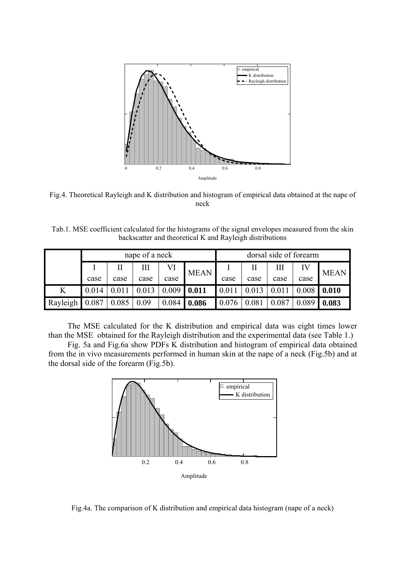

Fig.4. Theoretical Rayleigh and K distribution and histogram of empirical data obtained at the nape of neck

Tab.1. MSE coefficient calculated for the histograms of the signal envelopes measured from the skin backscatter and theoretical K and Rayleigh distributions

|          | nape of a neck |       |      |       |             | dorsal side of forearm |       |       |               |             |
|----------|----------------|-------|------|-------|-------------|------------------------|-------|-------|---------------|-------------|
|          |                |       | Ш    |       | <b>MEAN</b> |                        |       | Ш     | IV            | <b>MEAN</b> |
|          | case           | case  | case | case  |             | case                   | case  | case  | case          |             |
| K        | 0.014          | 0.011 |      | 0.009 | 0.011       | 0.011                  | 0.013 |       | $0.008$ 0.010 |             |
| Rayleigh | 0.087          | 0.085 | 0.09 | 0.084 | 0.086       | 0.076                  | .081  | 0.087 | 0.089         | 0.083       |

The MSE calculated for the K distribution and empirical data was eight times lower than the MSE obtained for the Rayleigh distribution and the experimental data (see Table 1.)

Fig. 5a and Fig.6a show PDFs K distribution and histogram of empirical data obtained from the in vivo measurements performed in human skin at the nape of a neck (Fig.5b) and at the dorsal side of the forearm (Fig.5b).



Fig.4a. The comparison of K distribution and empirical data histogram (nape of a neck)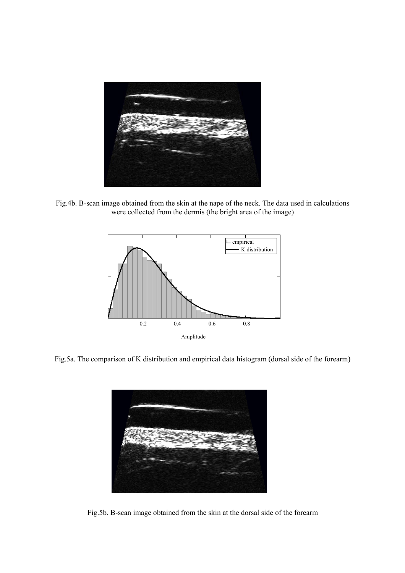

Fig.4b. B-scan image obtained from the skin at the nape of the neck. The data used in calculations were collected from the dermis (the bright area of the image)



Fig.5a. The comparison of K distribution and empirical data histogram (dorsal side of the forearm)



Fig.5b. B-scan image obtained from the skin at the dorsal side of the forearm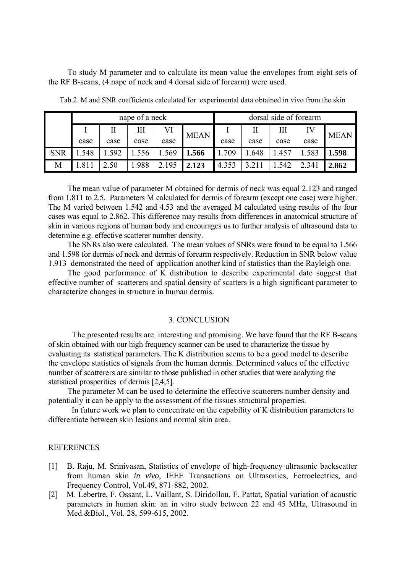To study M parameter and to calculate its mean value the envelopes from eight sets of the RF B-scans, (4 nape of neck and 4 dorsal side of forearm) were used.

|            |      |      | nape of a neck |       |             | dorsal side of forearm |      |      |       |             |
|------------|------|------|----------------|-------|-------------|------------------------|------|------|-------|-------------|
|            |      |      | Ш              | VI    | <b>MEAN</b> |                        | П    | Ш    | IV    | <b>MEAN</b> |
|            | case | case | case           | case  |             | case                   | case | case | case  |             |
| <b>SNR</b> | .548 | .592 | .556           | 1.569 | 1.566       | 1.709                  | .648 | .457 | 1.583 | 1.598       |
| M          |      | .50  | .988           | 2.195 | 2.123       | 4.353                  |      | 542  | 2.341 | 2.862       |

Tab.2. M and SNR coefficients calculated for experimental data obtained in vivo from the skin

The mean value of parameter M obtained for dermis of neck was equal 2.123 and ranged from 1.811 to 2.5. Parameters M calculated for dermis of forearm (except one case) were higher. The M varied between 1.542 and 4.53 and the averaged M calculated using results of the four cases was equal to 2.862. This difference may results from differences in anatomical structure of skin in various regions of human body and encourages us to further analysis of ultrasound data to determine e.g. effective scatterer number density.

The SNRs also were calculated. The mean values of SNRs were found to be equal to 1.566 and 1.598 for dermis of neck and dermis of forearm respectively. Reduction in SNR below value 1.913 demonstrated the need of application another kind of statistics than the Rayleigh one.

The good performance of K distribution to describe experimental date suggest that effective number of scatterers and spatial density of scatters is a high significant parameter to characterize changes in structure in human dermis.

## 3. CONCLUSION

 The presented results are interesting and promising. We have found that the RF B-scans of skin obtained with our high frequency scanner can be used to characterize the tissue by evaluating its statistical parameters. The K distribution seems to be a good model to describe the envelope statistics of signals from the human dermis. Determined values of the effective number of scatterers are similar to those published in other studies that were analyzing the statistical prosperities of dermis [2,4,5].

The parameter M can be used to determine the effective scatterers number density and potentially it can be apply to the assessment of the tissues structural properties.

 In future work we plan to concentrate on the capability of K distribution parameters to differentiate between skin lesions and normal skin area.

#### **REFERENCES**

- [1] B. Raju, M. Srinivasan, Statistics of envelope of high-frequency ultrasonic backscatter from human skin *in vivo*, IEEE Transactions on Ultrasonics, Ferroelectrics, and Frequency Control, Vol.49, 871-882, 2002.
- [2] M. Lebertre, F. Ossant, L. Vaillant, S. Diridollou, F. Pattat, Spatial variation of acoustic parameters in human skin: an in vitro study between 22 and 45 MHz, Ultrasound in Med.&Biol., Vol. 28, 599-615, 2002.